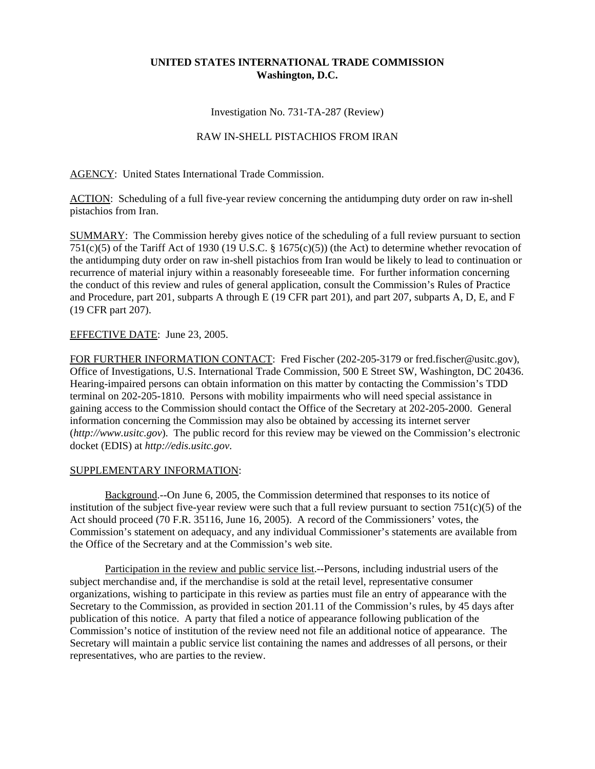## **UNITED STATES INTERNATIONAL TRADE COMMISSION Washington, D.C.**

Investigation No. 731-TA-287 (Review)

## RAW IN-SHELL PISTACHIOS FROM IRAN

AGENCY: United States International Trade Commission.

ACTION: Scheduling of a full five-year review concerning the antidumping duty order on raw in-shell pistachios from Iran.

SUMMARY: The Commission hereby gives notice of the scheduling of a full review pursuant to section 751(c)(5) of the Tariff Act of 1930 (19 U.S.C. § 1675(c)(5)) (the Act) to determine whether revocation of the antidumping duty order on raw in-shell pistachios from Iran would be likely to lead to continuation or recurrence of material injury within a reasonably foreseeable time. For further information concerning the conduct of this review and rules of general application, consult the Commission's Rules of Practice and Procedure, part 201, subparts A through E (19 CFR part 201), and part 207, subparts A, D, E, and F (19 CFR part 207).

## EFFECTIVE DATE: June 23, 2005.

FOR FURTHER INFORMATION CONTACT: Fred Fischer (202-205-3179 or fred.fischer@usitc.gov), Office of Investigations, U.S. International Trade Commission, 500 E Street SW, Washington, DC 20436. Hearing-impaired persons can obtain information on this matter by contacting the Commission's TDD terminal on 202-205-1810. Persons with mobility impairments who will need special assistance in gaining access to the Commission should contact the Office of the Secretary at 202-205-2000. General information concerning the Commission may also be obtained by accessing its internet server (*http://www.usitc.gov*). The public record for this review may be viewed on the Commission's electronic docket (EDIS) at *http://edis.usitc.gov*.

## SUPPLEMENTARY INFORMATION:

Background.--On June 6, 2005, the Commission determined that responses to its notice of institution of the subject five-year review were such that a full review pursuant to section  $751(c)(5)$  of the Act should proceed (70 F.R. 35116, June 16, 2005). A record of the Commissioners' votes, the Commission's statement on adequacy, and any individual Commissioner's statements are available from the Office of the Secretary and at the Commission's web site.

Participation in the review and public service list.--Persons, including industrial users of the subject merchandise and, if the merchandise is sold at the retail level, representative consumer organizations, wishing to participate in this review as parties must file an entry of appearance with the Secretary to the Commission, as provided in section 201.11 of the Commission's rules, by 45 days after publication of this notice. A party that filed a notice of appearance following publication of the Commission's notice of institution of the review need not file an additional notice of appearance. The Secretary will maintain a public service list containing the names and addresses of all persons, or their representatives, who are parties to the review.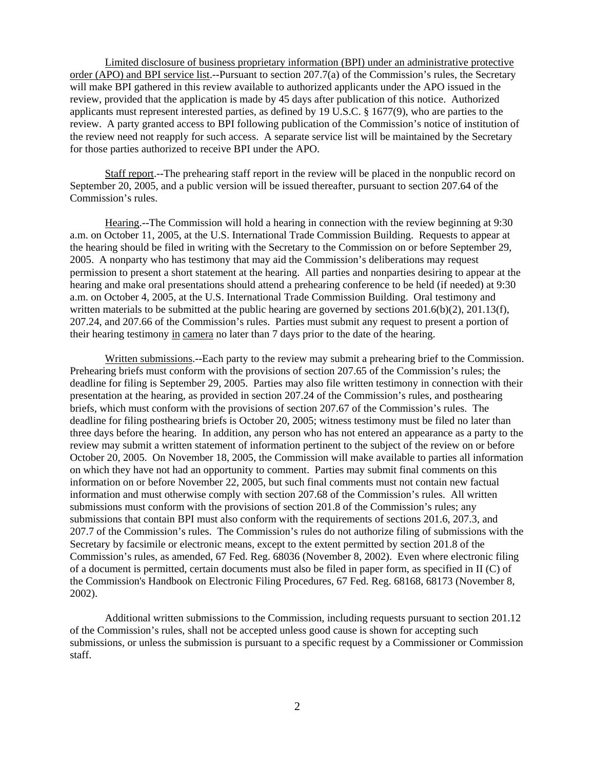Limited disclosure of business proprietary information (BPI) under an administrative protective order (APO) and BPI service list.--Pursuant to section 207.7(a) of the Commission's rules, the Secretary will make BPI gathered in this review available to authorized applicants under the APO issued in the review, provided that the application is made by 45 days after publication of this notice. Authorized applicants must represent interested parties, as defined by 19 U.S.C. § 1677(9), who are parties to the review. A party granted access to BPI following publication of the Commission's notice of institution of the review need not reapply for such access. A separate service list will be maintained by the Secretary for those parties authorized to receive BPI under the APO.

Staff report.--The prehearing staff report in the review will be placed in the nonpublic record on September 20, 2005, and a public version will be issued thereafter, pursuant to section 207.64 of the Commission's rules.

Hearing.--The Commission will hold a hearing in connection with the review beginning at 9:30 a.m. on October 11, 2005, at the U.S. International Trade Commission Building. Requests to appear at the hearing should be filed in writing with the Secretary to the Commission on or before September 29, 2005. A nonparty who has testimony that may aid the Commission's deliberations may request permission to present a short statement at the hearing. All parties and nonparties desiring to appear at the hearing and make oral presentations should attend a prehearing conference to be held (if needed) at 9:30 a.m. on October 4, 2005, at the U.S. International Trade Commission Building. Oral testimony and written materials to be submitted at the public hearing are governed by sections  $201.6(b)(2)$ ,  $201.13(f)$ , 207.24, and 207.66 of the Commission's rules. Parties must submit any request to present a portion of their hearing testimony in camera no later than 7 days prior to the date of the hearing.

Written submissions.--Each party to the review may submit a prehearing brief to the Commission. Prehearing briefs must conform with the provisions of section 207.65 of the Commission's rules; the deadline for filing is September 29, 2005. Parties may also file written testimony in connection with their presentation at the hearing, as provided in section 207.24 of the Commission's rules, and posthearing briefs, which must conform with the provisions of section 207.67 of the Commission's rules. The deadline for filing posthearing briefs is October 20, 2005; witness testimony must be filed no later than three days before the hearing. In addition, any person who has not entered an appearance as a party to the review may submit a written statement of information pertinent to the subject of the review on or before October 20, 2005. On November 18, 2005, the Commission will make available to parties all information on which they have not had an opportunity to comment. Parties may submit final comments on this information on or before November 22, 2005, but such final comments must not contain new factual information and must otherwise comply with section 207.68 of the Commission's rules. All written submissions must conform with the provisions of section 201.8 of the Commission's rules; any submissions that contain BPI must also conform with the requirements of sections 201.6, 207.3, and 207.7 of the Commission's rules. The Commission's rules do not authorize filing of submissions with the Secretary by facsimile or electronic means, except to the extent permitted by section 201.8 of the Commission's rules, as amended, 67 Fed. Reg. 68036 (November 8, 2002). Even where electronic filing of a document is permitted, certain documents must also be filed in paper form, as specified in II (C) of the Commission's Handbook on Electronic Filing Procedures, 67 Fed. Reg. 68168, 68173 (November 8, 2002).

Additional written submissions to the Commission, including requests pursuant to section 201.12 of the Commission's rules, shall not be accepted unless good cause is shown for accepting such submissions, or unless the submission is pursuant to a specific request by a Commissioner or Commission staff.